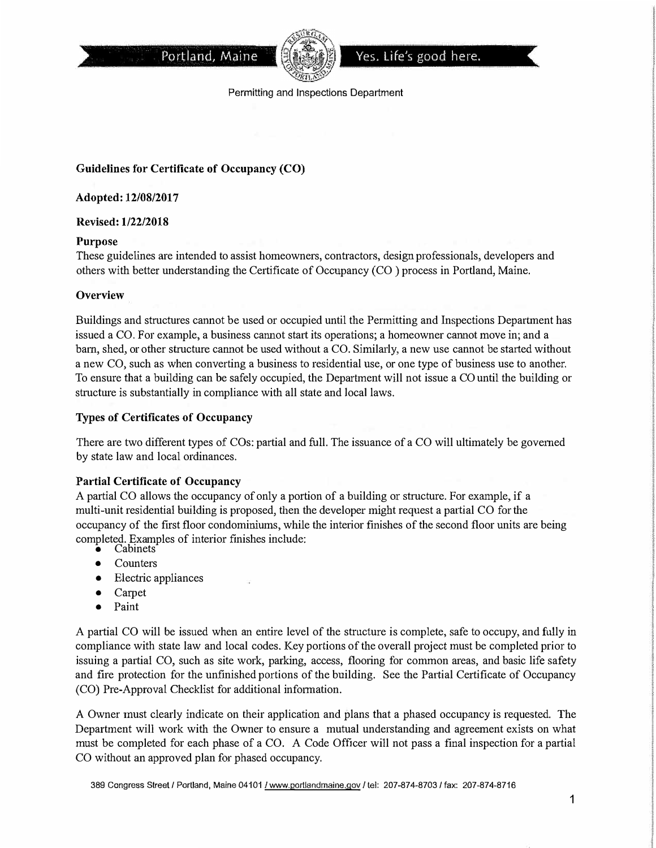



Permitting and Inspections Department

# **Guidelines for Certificate of Occupancy (CO)**

#### **Adopted: 12/08/2017**

### **Revised: 1/22/2018**

### **Purpose**

These guidelines are intended to assist homeowners, contractors, design professionals, developers and others with better understanding the Certificate of Occupancy (CO) process in Portland, Maine.

### **Overview**

Buildings and structures cannot be used or occupied until the Permitting and Inspections Department has issued a CO. For example, a business cannot start its operations; a homeowner cannot move in; and a barn, shed, or other structure cannot be used without a CO. Similarly, a new use cannot be started without a new CO, such as when converting a business to residential use, or one type of business use to another. To ensure that a building can be safely occupied, the Department will not issue a CO until the building or structure is substantially in compliance with all state and local laws.

## **Types of Certificates of Occupancy**

There are two different types of COs: partial and full. The issuance of a CO will ultimately be governed by state law and local ordinances.

### **Partial Certificate of Occupancy**

A partial CO allows the occupancy of only a portion of a building or structure. For example, if a multi-unit residential building is proposed, then the developer might request a partial CO for the occupancy of the first floor condominiums, while the interior finishes of the second floor units are being completed. Examples of interior finishes include:

- •Cabinets
- Counters
- Electric appliances
- Carpet
- Paint

A partial CO will be issued when an entire level of the structure is complete, safe to occupy, and fully in compliance with state law and local codes. Key portions of the overall project must be completed prior to issuing a partial CO, such as site work, parking, access, flooring for common areas, and basic life safety and fire protection for the unfinished portions of the building. See the Pattial Certificate of Occupancy (CO) Pre-Approval Checklist for additional information.

A Owner must clearly indicate on their application and plans that a phased occupancy is requested. The Department will work with the Owner to ensure a mutual understanding and agreement exists on what must be completed for each phase of a CO. A Code Officer will not pass a final inspection for a partial CO without an approved plan for phased occupancy.